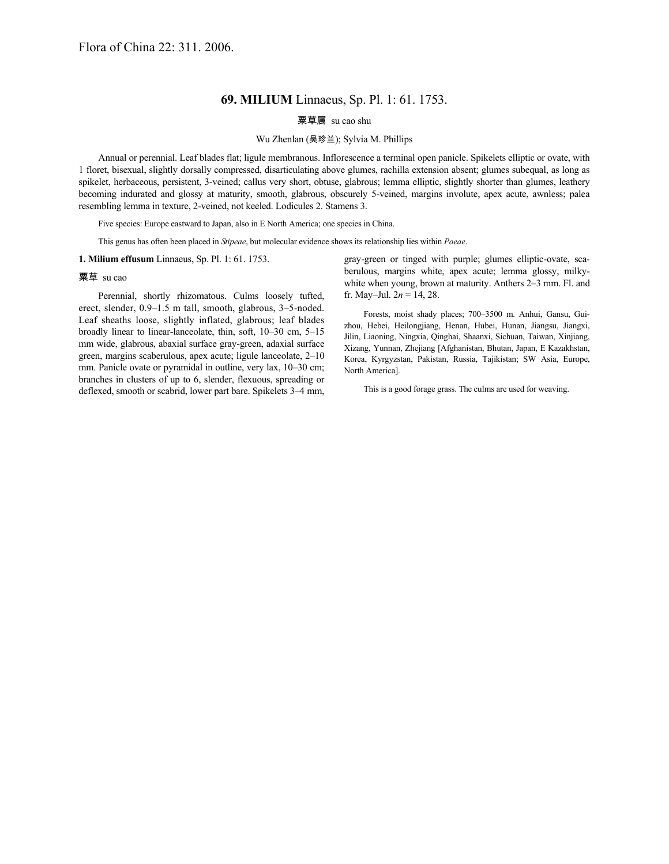# **69. MILIUM** Linnaeus, Sp. Pl. 1: 61. 1753.

## 粟草属 su cao shu

### Wu Zhenlan (吴珍兰); Sylvia M. Phillips

Annual or perennial. Leaf blades flat; ligule membranous. Inflorescence a terminal open panicle. Spikelets elliptic or ovate, with 1 floret, bisexual, slightly dorsally compressed, disarticulating above glumes, rachilla extension absent; glumes subequal, as long as spikelet, herbaceous, persistent, 3-veined; callus very short, obtuse, glabrous; lemma elliptic, slightly shorter than glumes, leathery becoming indurated and glossy at maturity, smooth, glabrous, obscurely 5-veined, margins involute, apex acute, awnless; palea resembling lemma in texture, 2-veined, not keeled. Lodicules 2. Stamens 3.

Five species: Europe eastward to Japan, also in E North America; one species in China.

This genus has often been placed in *Stipeae*, but molecular evidence shows its relationship lies within *Poeae*.

### **1. Milium effusum** Linnaeus, Sp. Pl. 1: 61. 1753.

#### 粟草 su cao

Perennial, shortly rhizomatous. Culms loosely tufted, erect, slender, 0.9–1.5 m tall, smooth, glabrous, 3–5-noded. Leaf sheaths loose, slightly inflated, glabrous; leaf blades broadly linear to linear-lanceolate, thin, soft, 10–30 cm, 5–15 mm wide, glabrous, abaxial surface gray-green, adaxial surface green, margins scaberulous, apex acute; ligule lanceolate, 2–10 mm. Panicle ovate or pyramidal in outline, very lax, 10–30 cm; branches in clusters of up to 6, slender, flexuous, spreading or deflexed, smooth or scabrid, lower part bare. Spikelets 3–4 mm,

gray-green or tinged with purple; glumes elliptic-ovate, scaberulous, margins white, apex acute; lemma glossy, milkywhite when young, brown at maturity. Anthers 2–3 mm. Fl. and fr. May–Jul.  $2n = 14, 28$ .

Forests, moist shady places; 700–3500 m. Anhui, Gansu, Guizhou, Hebei, Heilongjiang, Henan, Hubei, Hunan, Jiangsu, Jiangxi, Jilin, Liaoning, Ningxia, Qinghai, Shaanxi, Sichuan, Taiwan, Xinjiang, Xizang, Yunnan, Zhejiang [Afghanistan, Bhutan, Japan, E Kazakhstan, Korea, Kyrgyzstan, Pakistan, Russia, Tajikistan; SW Asia, Europe, North America].

This is a good forage grass. The culms are used for weaving.